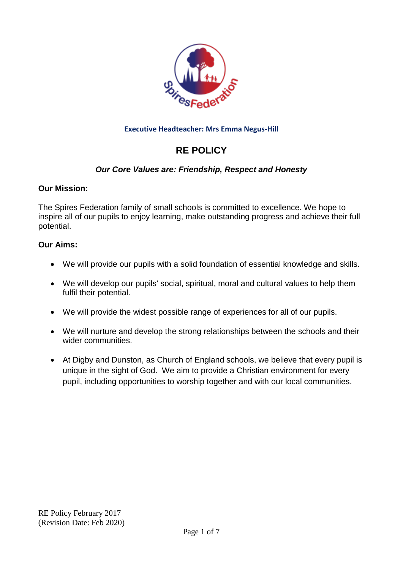

### **Executive Headteacher: Mrs Emma Negus-Hill**

# **RE POLICY**

# *Our Core Values are: Friendship, Respect and Honesty*

### **Our Mission:**

The Spires Federation family of small schools is committed to excellence. We hope to inspire all of our pupils to enjoy learning, make outstanding progress and achieve their full potential.

### **Our Aims:**

- We will provide our pupils with a solid foundation of essential knowledge and skills.
- We will develop our pupils' social, spiritual, moral and cultural values to help them fulfil their potential.
- We will provide the widest possible range of experiences for all of our pupils.
- We will nurture and develop the strong relationships between the schools and their wider communities.
- At Digby and Dunston, as Church of England schools, we believe that every pupil is unique in the sight of God. We aim to provide a Christian environment for every pupil, including opportunities to worship together and with our local communities.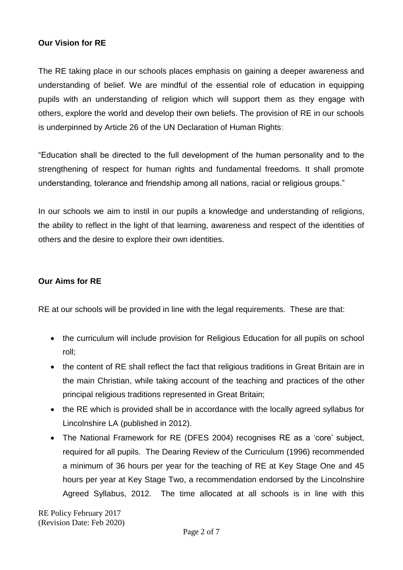### **Our Vision for RE**

The RE taking place in our schools places emphasis on gaining a deeper awareness and understanding of belief. We are mindful of the essential role of education in equipping pupils with an understanding of religion which will support them as they engage with others, explore the world and develop their own beliefs. The provision of RE in our schools is underpinned by Article 26 of the UN Declaration of Human Rights:

"Education shall be directed to the full development of the human personality and to the strengthening of respect for human rights and fundamental freedoms. It shall promote understanding, tolerance and friendship among all nations, racial or religious groups."

In our schools we aim to instil in our pupils a knowledge and understanding of religions, the ability to reflect in the light of that learning, awareness and respect of the identities of others and the desire to explore their own identities.

### **Our Aims for RE**

RE at our schools will be provided in line with the legal requirements. These are that:

- the curriculum will include provision for Religious Education for all pupils on school roll;
- the content of RE shall reflect the fact that religious traditions in Great Britain are in the main Christian, while taking account of the teaching and practices of the other principal religious traditions represented in Great Britain;
- the RE which is provided shall be in accordance with the locally agreed syllabus for Lincolnshire LA (published in 2012).
- The National Framework for RE (DFES 2004) recognises RE as a 'core' subject, required for all pupils. The Dearing Review of the Curriculum (1996) recommended a minimum of 36 hours per year for the teaching of RE at Key Stage One and 45 hours per year at Key Stage Two, a recommendation endorsed by the Lincolnshire Agreed Syllabus, 2012. The time allocated at all schools is in line with this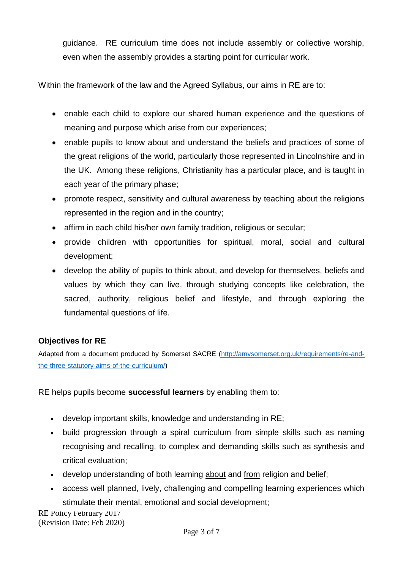guidance. RE curriculum time does not include assembly or collective worship, even when the assembly provides a starting point for curricular work.

Within the framework of the law and the Agreed Syllabus, our aims in RE are to:

- enable each child to explore our shared human experience and the questions of meaning and purpose which arise from our experiences;
- enable pupils to know about and understand the beliefs and practices of some of the great religions of the world, particularly those represented in Lincolnshire and in the UK. Among these religions, Christianity has a particular place, and is taught in each year of the primary phase;
- promote respect, sensitivity and cultural awareness by teaching about the religions represented in the region and in the country;
- affirm in each child his/her own family tradition, religious or secular;
- provide children with opportunities for spiritual, moral, social and cultural development;
- develop the ability of pupils to think about, and develop for themselves, beliefs and values by which they can live, through studying concepts like celebration, the sacred, authority, religious belief and lifestyle, and through exploring the fundamental questions of life.

# **Objectives for RE**

Adapted from a document produced by Somerset SACRE [\(http://amvsomerset.org.uk/requirements/re-and](http://amvsomerset.org.uk/requirements/re-and-the-three-statutory-aims-of-the-curriculum/)[the-three-statutory-aims-of-the-curriculum/\)](http://amvsomerset.org.uk/requirements/re-and-the-three-statutory-aims-of-the-curriculum/)

RE helps pupils become **successful learners** by enabling them to:

- develop important skills, knowledge and understanding in RE;
- build progression through a spiral curriculum from simple skills such as naming recognising and recalling, to complex and demanding skills such as synthesis and critical evaluation;
- develop understanding of both learning about and from religion and belief;
- access well planned, lively, challenging and compelling learning experiences which stimulate their mental, emotional and social development;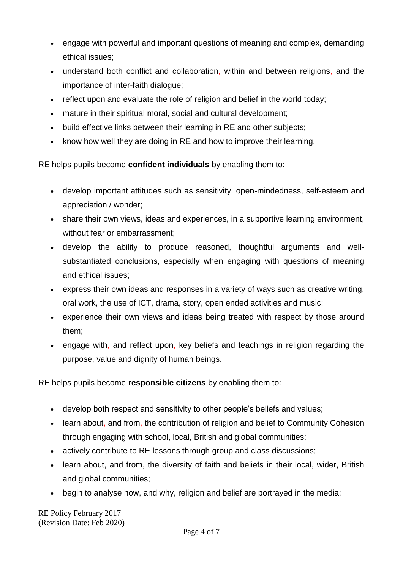- engage with powerful and important questions of meaning and complex, demanding ethical issues;
- understand both conflict and collaboration, within and between religions, and the importance of inter-faith dialogue;
- reflect upon and evaluate the role of religion and belief in the world today;
- mature in their spiritual moral, social and cultural development;
- build effective links between their learning in RE and other subjects;
- know how well they are doing in RE and how to improve their learning.

RE helps pupils become **confident individuals** by enabling them to:

- develop important attitudes such as sensitivity, open-mindedness, self-esteem and appreciation / wonder;
- share their own views, ideas and experiences, in a supportive learning environment, without fear or embarrassment;
- develop the ability to produce reasoned, thoughtful arguments and wellsubstantiated conclusions, especially when engaging with questions of meaning and ethical issues;
- express their own ideas and responses in a variety of ways such as creative writing, oral work, the use of ICT, drama, story, open ended activities and music;
- experience their own views and ideas being treated with respect by those around them;
- engage with, and reflect upon, key beliefs and teachings in religion regarding the purpose, value and dignity of human beings.

RE helps pupils become **responsible citizens** by enabling them to:

- develop both respect and sensitivity to other people's beliefs and values;
- learn about, and from, the contribution of religion and belief to Community Cohesion through engaging with school, local, British and global communities;
- actively contribute to RE lessons through group and class discussions;
- learn about, and from, the diversity of faith and beliefs in their local, wider, British and global communities;
- begin to analyse how, and why, religion and belief are portrayed in the media;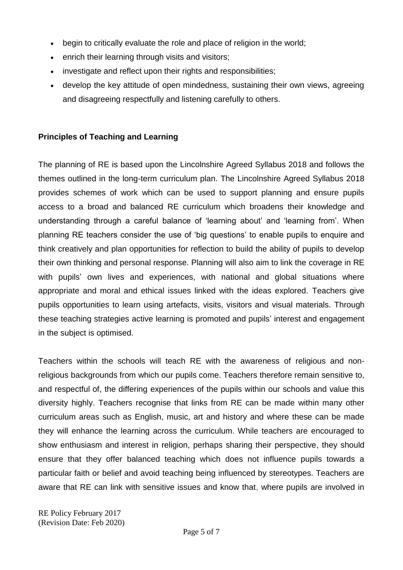- begin to critically evaluate the role and place of religion in the world;
- **enrich their learning through visits and visitors;**
- investigate and reflect upon their rights and responsibilities;
- develop the key attitude of open mindedness, sustaining their own views, agreeing and disagreeing respectfully and listening carefully to others.

# **Principles of Teaching and Learning**

The planning of RE is based upon the Lincolnshire Agreed Syllabus 2018 and follows the themes outlined in the long-term curriculum plan. The Lincolnshire Agreed Syllabus 2018 provides schemes of work which can be used to support planning and ensure pupils access to a broad and balanced RE curriculum which broadens their knowledge and understanding through a careful balance of 'learning about' and 'learning from'. When planning RE teachers consider the use of 'big questions' to enable pupils to enquire and think creatively and plan opportunities for reflection to build the ability of pupils to develop their own thinking and personal response. Planning will also aim to link the coverage in RE with pupils' own lives and experiences, with national and global situations where appropriate and moral and ethical issues linked with the ideas explored. Teachers give pupils opportunities to learn using artefacts, visits, visitors and visual materials. Through these teaching strategies active learning is promoted and pupils' interest and engagement in the subject is optimised.

Teachers within the schools will teach RE with the awareness of religious and nonreligious backgrounds from which our pupils come. Teachers therefore remain sensitive to, and respectful of, the differing experiences of the pupils within our schools and value this diversity highly. Teachers recognise that links from RE can be made within many other curriculum areas such as English, music, art and history and where these can be made they will enhance the learning across the curriculum. While teachers are encouraged to show enthusiasm and interest in religion, perhaps sharing their perspective, they should ensure that they offer balanced teaching which does not influence pupils towards a particular faith or belief and avoid teaching being influenced by stereotypes. Teachers are aware that RE can link with sensitive issues and know that, where pupils are involved in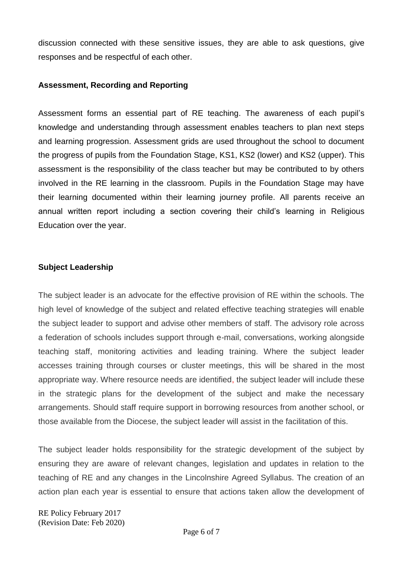discussion connected with these sensitive issues, they are able to ask questions, give responses and be respectful of each other.

#### **Assessment, Recording and Reporting**

Assessment forms an essential part of RE teaching. The awareness of each pupil's knowledge and understanding through assessment enables teachers to plan next steps and learning progression. Assessment grids are used throughout the school to document the progress of pupils from the Foundation Stage, KS1, KS2 (lower) and KS2 (upper). This assessment is the responsibility of the class teacher but may be contributed to by others involved in the RE learning in the classroom. Pupils in the Foundation Stage may have their learning documented within their learning journey profile. All parents receive an annual written report including a section covering their child's learning in Religious Education over the year.

#### **Subject Leadership**

The subject leader is an advocate for the effective provision of RE within the schools. The high level of knowledge of the subject and related effective teaching strategies will enable the subject leader to support and advise other members of staff. The advisory role across a federation of schools includes support through e-mail, conversations, working alongside teaching staff, monitoring activities and leading training. Where the subject leader accesses training through courses or cluster meetings, this will be shared in the most appropriate way. Where resource needs are identified, the subject leader will include these in the strategic plans for the development of the subject and make the necessary arrangements. Should staff require support in borrowing resources from another school, or those available from the Diocese, the subject leader will assist in the facilitation of this.

The subject leader holds responsibility for the strategic development of the subject by ensuring they are aware of relevant changes, legislation and updates in relation to the teaching of RE and any changes in the Lincolnshire Agreed Syllabus. The creation of an action plan each year is essential to ensure that actions taken allow the development of